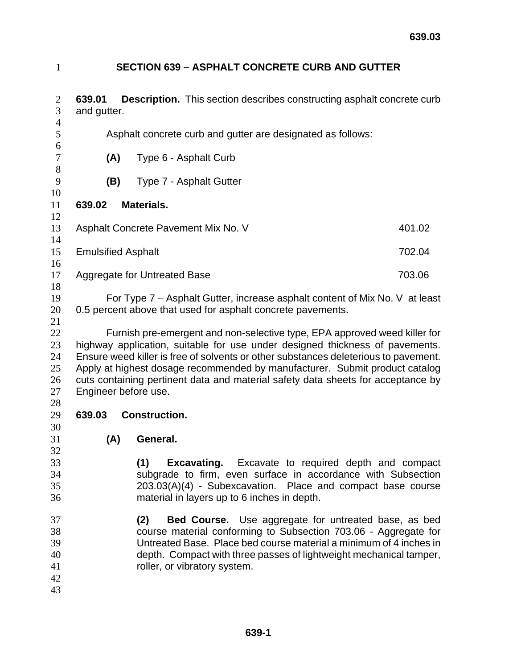## **SECTION 639 – ASPHALT CONCRETE CURB AND GUTTER**

| $\overline{2}$<br>3                    | <b>Description.</b> This section describes constructing asphalt concrete curb<br>639.01<br>and gutter.                                                                                                                                                                                                                                                                                                                                      |                                                                   |                                                                                                                                                                                                                                                                            |        |
|----------------------------------------|---------------------------------------------------------------------------------------------------------------------------------------------------------------------------------------------------------------------------------------------------------------------------------------------------------------------------------------------------------------------------------------------------------------------------------------------|-------------------------------------------------------------------|----------------------------------------------------------------------------------------------------------------------------------------------------------------------------------------------------------------------------------------------------------------------------|--------|
| $\overline{4}$<br>5                    | Asphalt concrete curb and gutter are designated as follows:                                                                                                                                                                                                                                                                                                                                                                                 |                                                                   |                                                                                                                                                                                                                                                                            |        |
| 6<br>$\tau$<br>$8\,$                   | (A)                                                                                                                                                                                                                                                                                                                                                                                                                                         | Type 6 - Asphalt Curb                                             |                                                                                                                                                                                                                                                                            |        |
| 9                                      | (B)                                                                                                                                                                                                                                                                                                                                                                                                                                         | Type 7 - Asphalt Gutter                                           |                                                                                                                                                                                                                                                                            |        |
| 10<br>11                               | <b>Materials.</b><br>639.02                                                                                                                                                                                                                                                                                                                                                                                                                 |                                                                   |                                                                                                                                                                                                                                                                            |        |
| 12<br>13<br>14                         |                                                                                                                                                                                                                                                                                                                                                                                                                                             | Asphalt Concrete Pavement Mix No. V                               |                                                                                                                                                                                                                                                                            | 401.02 |
| 15<br>16                               | <b>Emulsified Asphalt</b>                                                                                                                                                                                                                                                                                                                                                                                                                   |                                                                   |                                                                                                                                                                                                                                                                            | 702.04 |
| 17<br>18                               | Aggregate for Untreated Base                                                                                                                                                                                                                                                                                                                                                                                                                |                                                                   |                                                                                                                                                                                                                                                                            | 703.06 |
| 19<br>20<br>21                         | For Type 7 – Asphalt Gutter, increase asphalt content of Mix No. V at least<br>0.5 percent above that used for asphalt concrete pavements.                                                                                                                                                                                                                                                                                                  |                                                                   |                                                                                                                                                                                                                                                                            |        |
| 22<br>23<br>24<br>25<br>26<br>27<br>28 | Furnish pre-emergent and non-selective type, EPA approved weed killer for<br>highway application, suitable for use under designed thickness of pavements.<br>Ensure weed killer is free of solvents or other substances deleterious to pavement.<br>Apply at highest dosage recommended by manufacturer. Submit product catalog<br>cuts containing pertinent data and material safety data sheets for acceptance by<br>Engineer before use. |                                                                   |                                                                                                                                                                                                                                                                            |        |
| 29<br>30                               | 639.03<br><b>Construction.</b>                                                                                                                                                                                                                                                                                                                                                                                                              |                                                                   |                                                                                                                                                                                                                                                                            |        |
| 31<br>32                               | (A)                                                                                                                                                                                                                                                                                                                                                                                                                                         | General.                                                          |                                                                                                                                                                                                                                                                            |        |
| 33<br>34<br>35<br>36                   |                                                                                                                                                                                                                                                                                                                                                                                                                                             | (1)<br>Excavating.<br>material in layers up to 6 inches in depth. | Excavate to required depth and compact<br>subgrade to firm, even surface in accordance with Subsection<br>203.03(A)(4) - Subexcavation. Place and compact base course                                                                                                      |        |
| 37<br>38<br>39<br>40<br>41<br>42<br>43 |                                                                                                                                                                                                                                                                                                                                                                                                                                             | (2)<br>roller, or vibratory system.                               | <b>Bed Course.</b> Use aggregate for untreated base, as bed<br>course material conforming to Subsection 703.06 - Aggregate for<br>Untreated Base. Place bed course material a minimum of 4 inches in<br>depth. Compact with three passes of lightweight mechanical tamper, |        |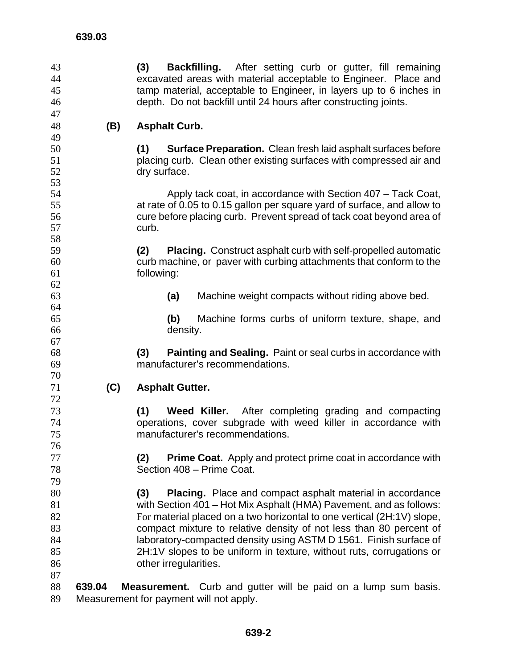**(3) Backfilling.** After setting curb or gutter, fill remaining excavated areas with material acceptable to Engineer. Place and tamp material, acceptable to Engineer, in layers up to 6 inches in depth. Do not backfill until 24 hours after constructing joints. **639.03 (B) Asphalt Curb. (1) Surface Preparation.** Clean fresh laid asphalt surfaces before placing curb. Clean other existing surfaces with compressed air and dry surface. Apply tack coat, in accordance with Section 407 – Tack Coat, at rate of 0.05 to 0.15 gallon per square yard of surface, and allow to cure before placing curb. Prevent spread of tack coat beyond area of curb. **(2) Placing.** Construct asphalt curb with self-propelled automatic curb machine, or paver with curbing attachments that conform to the following: **(a)** Machine weight compacts without riding above bed. **(b)** Machine forms curbs of uniform texture, shape, and density. **(3) Painting and Sealing.** Paint or seal curbs in accordance with manufacturer's recommendations. **(C) Asphalt Gutter. (1) Weed Killer.** After completing grading and compacting operations, cover subgrade with weed killer in accordance with manufacturer's recommendations. **(2) Prime Coat.** Apply and protect prime coat in accordance with Section 408 – Prime Coat. **(3) Placing.** Place and compact asphalt material in accordance with Section 401 – Hot Mix Asphalt (HMA) Pavement, and as follows: 82 For material placed on a two horizontal to one vertical (2H:1V) slope, compact mixture to relative density of not less than 80 percent of laboratory-compacted density using ASTM D 1561. Finish surface of 2H:1V slopes to be uniform in texture, without ruts, corrugations or other irregularities. **639.04 Measurement.** Curb and gutter will be paid on a lump sum basis. Measurement for payment will not apply.